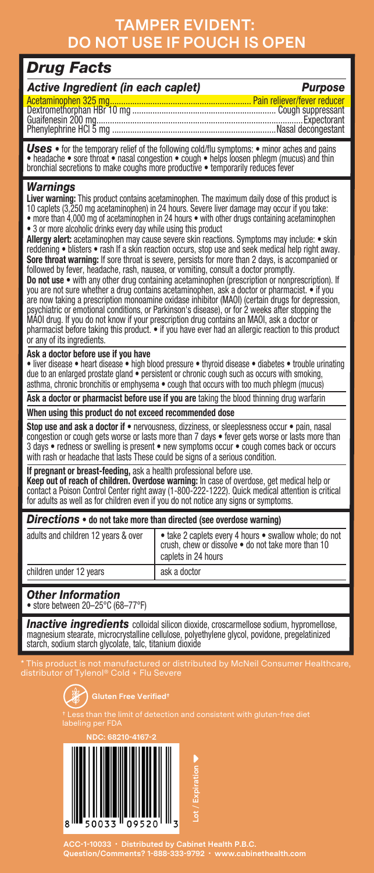## **TAMPER EVIDENT: DO NOT USE IF POUCH IS OPEN**

### *Drug Facts*

| Active Ingredient (in each caplet) | <b>Purpose</b> |
|------------------------------------|----------------|
|                                    |                |
|                                    |                |
|                                    |                |

*Uses* • for the temporary relief of the following cold/flu symptoms: • minor aches and pains • headache • sore throat • nasal congestion • cough • helps loosen phlegm (mucus) and thin bronchial secretions to make coughs more productive • temporarily reduces fever

#### *Warnings*

**Liver warning:** This product contains acetaminophen. The maximum daily dose of this product is 10 caplets (3,250 mg acetaminophen) in 24 hours. Severe liver damage may occur if you take: • more than 4,000 mg of acetaminophen in 24 hours • with other drugs containing acetaminophen

• 3 or more alcoholic drinks every day while using this product<br>Allergy alert: acetaminophen may cause severe skin reactions. Symptoms may include: • skin reddening • blisters • rash If a skin reaction occurs, stop use and seek medical help right away. **Sore throat warning:** If sore throat is severe, persists for more than 2 days, is accompanied or<br>followed by fever, headache, rash, nausea, or vomiting, consult a doctor promptly.

**Do not use** • with any other drug containing acetaminophen (prescription or nonprescription). If you are not sure whether a drug contains acetaminophen, ask a doctor or pharmacist. • if you are now taking a prescription monoamine oxidase inhibitor (MAOI) (certain drugs for depression, psychiatric or emotional conditions, or Parkinson's disease), or for 2 weeks after stopping the MAOI drug. If you do not know if your prescription drug contains an MAOI, ask a doctor or pharmacist before taking this product. . if you have ever had an allergic reaction to this product or any of its ingredients.

#### **Ask a doctor before use if you have**

• liver disease • heart disease • high blood pressure • thyroid disease • diabetes • trouble urinating due to an enlarged prostate gland • persistent or chronic cough such as occurs with smoking, asthma, chronic bronchitis or emphysema • cough that occurs with too much phlegm (mucus)

**Ask a doctor or pharmacist before use if you are** taking the blood thinning drug warfarin

#### **When using this product do not exceed recommended dose**

**Stop use and ask a doctor if** • nervousness, dizziness, or sleeplessness occur • pain, nasal congestion or cough gets worse or lasts more than 7 days • fever gets worse or lasts more than 3 days • redness or swelling is present • new symptoms occur • cough comes back or occurs with rash or headache that lasts These could be signs of a serious condition.

#### **If pregnant or breast-feeding, ask a health professional before use.**

**Keep out of reach of children. Overdose warning:** In case of overdose, get medical help or contact a Poison Control Center right away (1-800-222-1222). Quick medical attention is critical for adults as well as for children even if you do not notice any signs or symptoms.

#### *Directions* **• do not take more than directed (see overdose warning)**

| adults and children 12 years & over | · take 2 caplets every 4 hours · swallow whole; do not<br>crush, chew or dissolve . do not take more than 10<br>caplets in 24 hours |
|-------------------------------------|-------------------------------------------------------------------------------------------------------------------------------------|
| children under 12 years             | ask a doctor                                                                                                                        |
|                                     |                                                                                                                                     |

#### *Other Information*

• store between 20–25°C (68–77°F)

*Inactive ingredients* colloidal silicon dioxide, croscarmellose sodium, hypromellose, magnesium stearate, microcrystalline cellulose, polyethylene glycol, povidone, pregelatinized starch, sodium starch glycolate, talc, titanium dioxide

\* This product is not manufactured or distributed by McNeil Consumer Healthcare,





**ACC-1-10033 • Distributed by Cabinet Health P.B.C. Question/Comments? 1-888-333-9792 • www.cabinethealth.com**